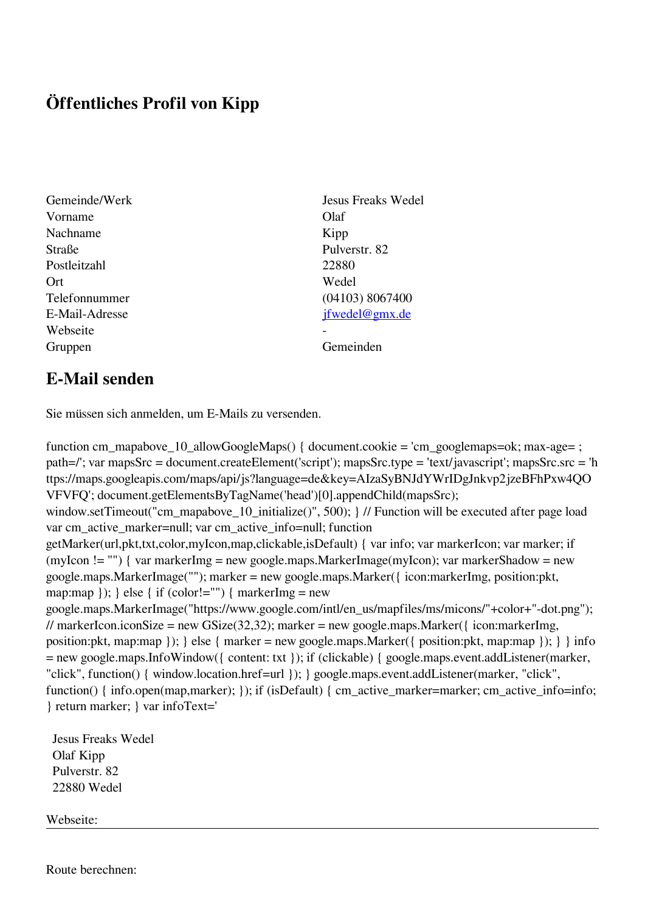## **Öffentliches Profil von Kipp**

- Vorname Olaf Nachname Kipp Straße Pulverstr. 82 Postleitzahl 22880 Ort Wedel Webseite Gruppen Gemeinden Gemeinden Gemeinden Gemeinden Gemeinden Gemeinden Gemeinden Gemeinden Gemeinden Gemeinden Gemeinden Gemeinden Gemeinden Gemeinden Gemeinden Gemeinden Gemeinden Gemeinden Gemeinden Gemeinden Gemeinden Geme
- Gemeinde/Werk Jesus Freaks Wedel Telefonnummer (04103) 8067400 E-Mail-Adresse [jfwedel@gmx.de](mailto:jfwedel@gmx.de)

## **E-Mail senden**

Sie müssen sich anmelden, um E-Mails zu versenden.

function cm\_mapabove\_10\_allowGoogleMaps() { document.cookie = 'cm\_googlemaps=ok; max-age= ; path=/'; var mapsSrc = document.createElement('script'); mapsSrc.type = 'text/javascript'; mapsSrc.src = 'h ttps://maps.googleapis.com/maps/api/js?language=de&key=AIzaSyBNJdYWrIDgJnkvp2jzeBFhPxw4QO VFVFQ'; document.getElementsByTagName('head')[0].appendChild(mapsSrc); window.setTimeout("cm\_mapabove\_10\_initialize()", 500); } // Function will be executed after page load var cm\_active\_marker=null; var cm\_active\_info=null; function getMarker(url,pkt,txt,color,myIcon,map,clickable,isDefault) { var info; var markerIcon; var marker; if (myIcon != "") { var markerImg = new google.maps.MarkerImage(myIcon); var markerShadow = new google.maps.MarkerImage(""); marker = new google.maps.Marker({ icon:markerImg, position:pkt, map:map  $\}$ ;  $\}$  else  $\{$  if (color!="")  $\{$  markerImg = new google.maps.MarkerImage("https://www.google.com/intl/en\_us/mapfiles/ms/micons/"+color+"-dot.png"); // markerIcon.iconSize = new GSize(32,32); marker = new google.maps.Marker( $\{$  icon:markerImg, position:pkt, map:map }); } else { marker = new google.maps.Marker({ position:pkt, map:map }); } } info = new google.maps.InfoWindow({ content: txt }); if (clickable) { google.maps.event.addListener(marker, "click", function() { window.location.href=url }); } google.maps.event.addListener(marker, "click", function() { info.open(map,marker); }); if (isDefault) { cm\_active\_marker=marker; cm\_active\_info=info; } return marker; } var infoText='

 Jesus Freaks Wedel Olaf Kipp Pulverstr. 82 22880 Wedel

Webseite:

Route berechnen: